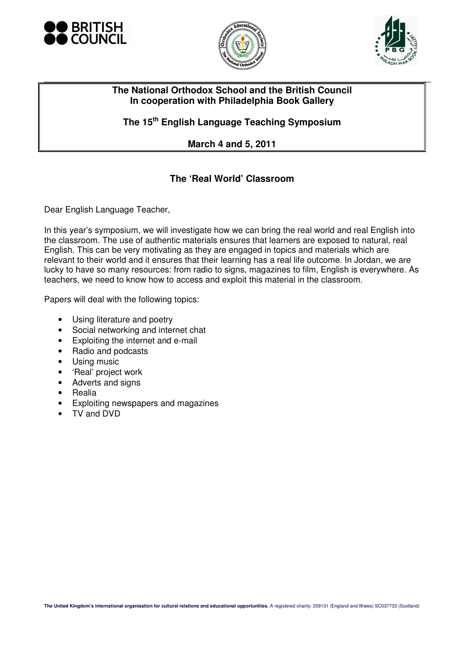





## **The National Orthodox School and the British Council In cooperation with Philadelphia Book Gallery**

**The 15th English Language Teaching Symposium** 

**March 4 and 5, 2011** 

## **The 'Real World' Classroom**

Dear English Language Teacher,

In this year's symposium, we will investigate how we can bring the real world and real English into the classroom. The use of authentic materials ensures that learners are exposed to natural, real English. This can be very motivating as they are engaged in topics and materials which are relevant to their world and it ensures that their learning has a real life outcome. In Jordan, we are lucky to have so many resources: from radio to signs, magazines to film, English is everywhere. As teachers, we need to know how to access and exploit this material in the classroom.

Papers will deal with the following topics:

- Using literature and poetry
- Social networking and internet chat
- Exploiting the internet and e-mail
- Radio and podcasts
- Using music
- 'Real' project work
- Adverts and signs
- Realia
- Exploiting newspapers and magazines
- TV and DVD